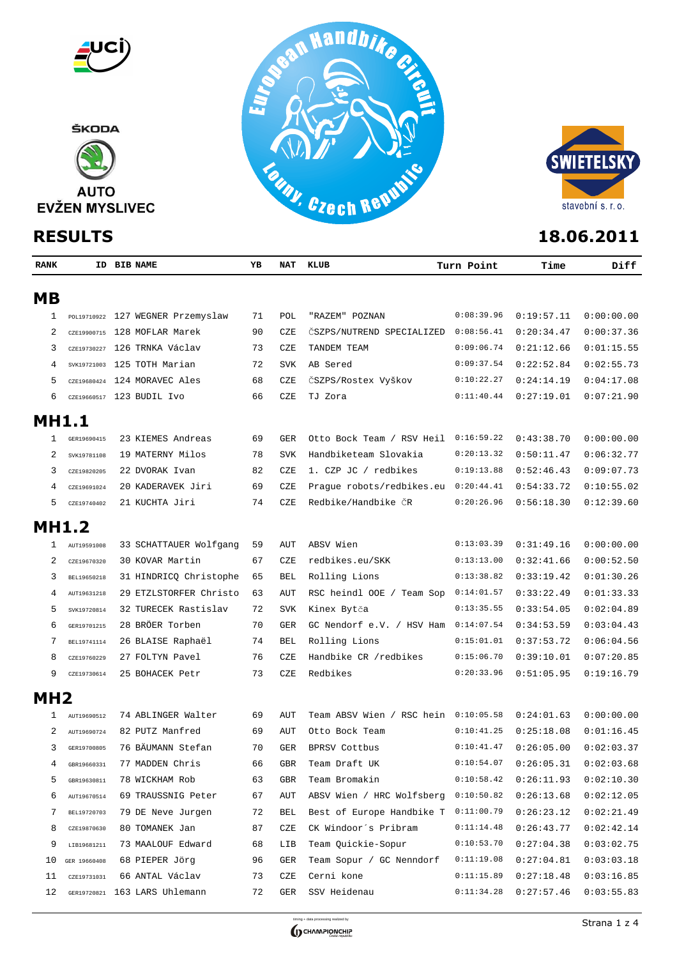



| <b>RANK</b>     |              | ID BIB NAME                       | ΥB | NAT                  | KLUB                                 | Turn Point | Time       | Diff       |
|-----------------|--------------|-----------------------------------|----|----------------------|--------------------------------------|------------|------------|------------|
| <b>MB</b>       |              |                                   |    |                      |                                      |            |            |            |
| 1               |              | POL19710922 127 WEGNER Przemyslaw | 71 | POL                  | "RAZEM" POZNAN                       | 0:08:39.96 | 0:19:57.11 | 0:00:00.00 |
| 2               |              | CZE19900715 128 MOFLAR Marek      | 90 | CZE                  | CSZPS/NUTREND SPECIALIZED            | 0:08:56.41 | 0:20:34.47 | 0:00:37.36 |
| 3               |              | CZE19730227 126 TRNKA Václav      | 73 | CZE                  | TANDEM TEAM                          | 0:09:06.74 | 0:21:12.66 | 0:01:15.55 |
| 4               |              | SVK19721003 125 TOTH Marian       | 72 | <b>SVK</b>           | AB Sered                             | 0:09:37.54 | 0:22:52.84 | 0:02:55.73 |
| 5               |              | CZE19680424 124 MORAVEC Ales      | 68 | CZE                  | ČSZPS/Rostex Vyškov                  | 0:10:22.27 | 0:24:14.19 | 0:04:17.08 |
| 6               |              | CZE19660517 123 BUDIL IVO         | 66 | CZE                  | TJ Zora                              | 0:11:40.44 | 0:27:19.01 | 0:07:21.90 |
| <b>MH1.1</b>    |              |                                   |    |                      |                                      |            |            |            |
| 1               | GER19690415  | 23 KIEMES Andreas                 | 69 | GER                  | Otto Bock Team / RSV Heil            | 0:16:59.22 | 0:43:38.70 | 0:00:00.00 |
| 2               | SVK19781108  | 19 MATERNY Milos                  | 78 | <b>SVK</b>           | Handbiketeam Slovakia                | 0:20:13.32 | 0:50:11.47 | 0:06:32.77 |
| 3               | CZE19820205  | 22 DVORAK Ivan                    | 82 | CZE                  | 1. CZP JC / redbikes                 | 0:19:13.88 | 0:52:46.43 | 0:09:07.73 |
| 4               | CZE19691024  | 20 KADERAVEK Jiri                 | 69 | CZE                  | Prague robots/redbikes.eu            | 0:20:44.41 | 0:54:33.72 | 0:10:55.02 |
| 5               | CZE19740402  | 21 KUCHTA Jiri                    | 74 | CZE                  | Redbike/Handbike ČR                  | 0:20:26.96 | 0:56:18.30 | 0:12:39.60 |
| <b>MH1.2</b>    |              |                                   |    |                      |                                      |            |            |            |
| 1               | AUT19591008  | 33 SCHATTAUER Wolfgang            | 59 | AUT                  | ABSV Wien                            | 0:13:03.39 | 0:31:49.16 | 0:00:00.00 |
| 2               | CZE19670320  | 30 KOVAR Martin                   | 67 | CZE                  | redbikes.eu/SKK                      | 0:13:13.00 | 0:32:41.66 | 0:00:52.50 |
| 3               | BEL19650218  | 31 HINDRICQ Christophe            | 65 | BEL                  | Rolling Lions                        | 0:13:38.82 | 0:33:19.42 | 0:01:30.26 |
| 4               | AUT19631218  | 29 ETZLSTORFER Christo            | 63 | AUT                  | RSC heindl OOE / Team Sop            | 0:14:01.57 | 0:33:22.49 | 0:01:33.33 |
| 5               | SVK19720814  | 32 TURECEK Rastislav              | 72 | <b>SVK</b>           | Kinex Bytča                          | 0:13:35.55 | 0:33:54.05 | 0:02:04.89 |
| 6               | GER19701215  | 28 BRÖER Torben                   | 70 | <b>GER</b>           | GC Nendorf e.V. / HSV Ham            | 0:14:07.54 | 0:34:53.59 | 0:03:04.43 |
| 7               | BEL19741114  | 26 BLAISE Raphaël                 | 74 | BEL                  | Rolling Lions                        | 0:15:01.01 | 0:37:53.72 | 0:06:04.56 |
| 8               | CZE19760229  | 27 FOLTYN Pavel                   | 76 | CZE                  | Handbike CR /redbikes                | 0:15:06.70 | 0:39:10.01 | 0:07:20.85 |
| 9               | CZE19730614  | 25 BOHACEK Petr                   | 73 | CZE                  | Redbikes                             | 0:20:33.96 | 0:51:05.95 | 0:19:16.79 |
|                 |              |                                   |    |                      |                                      |            |            |            |
| MH <sub>2</sub> |              |                                   |    |                      |                                      |            |            |            |
|                 | AUT19690512  | 74 ABLINGER Walter                | 69 | AUT                  | Team ABSV Wien / RSC hein 0:10:05.58 |            | 0:24:01.63 | 0:00:00.00 |
| 2               | AUT19690724  | 82 PUTZ Manfred                   | 69 | AUT                  | Otto Bock Team                       | 0:10:41.25 | 0:25:18.08 | 0:01:16.45 |
| 3               | GER19700805  | 76 BÄUMANN Stefan                 | 70 | <b>GER</b>           | BPRSV Cottbus                        | 0:10:41.47 | 0:26:05.00 | 0:02:03.37 |
| 4               | GBR19660331  | 77 MADDEN Chris                   | 66 | $\operatorname{GBR}$ | Team Draft UK                        | 0:10:54.07 | 0:26:05.31 | 0:02:03.68 |
| 5               | GBR19630811  | 78 WICKHAM Rob                    | 63 | GBR                  | Team Bromakin                        | 0:10:58.42 | 0:26:11.93 | 0:02:10.30 |
| 6               | AUT19670514  | 69 TRAUSSNIG Peter                | 67 | AUT                  | ABSV Wien / HRC Wolfsberg            | 0:10:50.82 | 0:26:13.68 | 0:02:12.05 |
| 7               | BEL19720703  | 79 DE Neve Jurgen                 | 72 | BEL                  | Best of Europe Handbike T            | 0:11:00.79 | 0:26:23.12 | 0:02:21.49 |
| 8               | CZE19870630  | 80 TOMANEK Jan                    | 87 | CZE                  | CK Windoor's Pribram                 | 0:11:14.48 | 0:26:43.77 | 0:02:42.14 |
| 9               | LIB19681211  | 73 MAALOUF Edward                 | 68 | LIB                  | Team Quickie-Sopur                   | 0:10:53.70 | 0:27:04.38 | 0:03:02.75 |
| 10              | GER 19660408 | 68 PIEPER JÖrg                    | 96 | GER                  | Team Sopur / GC Nenndorf             | 0:11:19.08 | 0:27:04.81 | 0:03:03.18 |
| 11              | CZE19731031  | 66 ANTAL Václav                   | 73 | CZE                  | Cerni kone                           | 0:11:15.89 | 0:27:18.48 | 0:03:16.85 |
| 12              |              | GER19720821 163 LARS Uhlemann     | 72 | GER                  | SSV Heidenau                         | 0:11:34.28 | 0:27:57.46 | 0:03:55.83 |

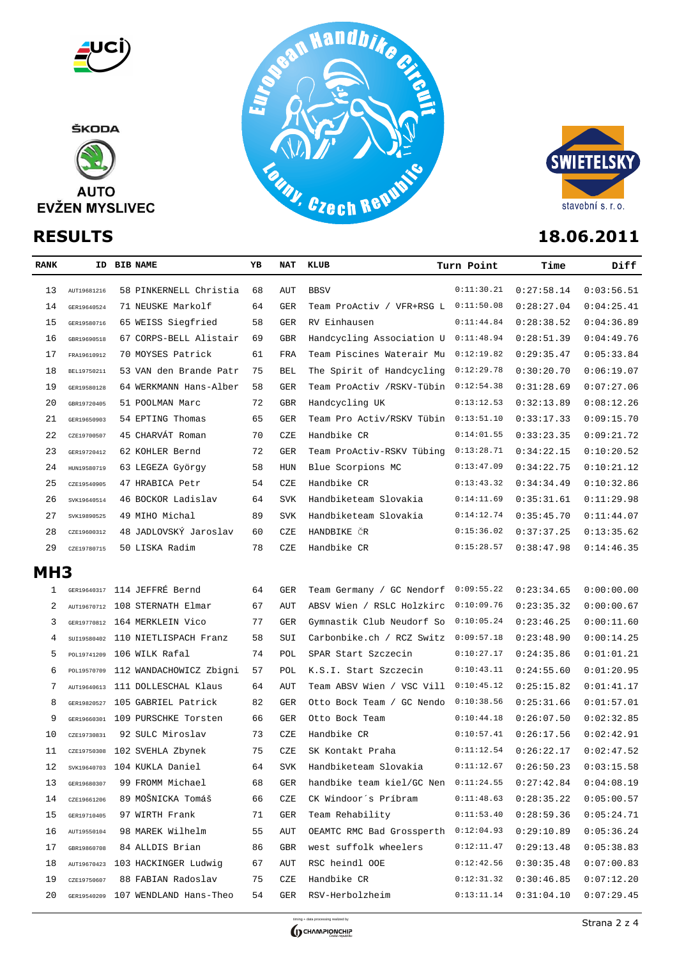

ŠKODA







| <b>RANK</b>    |             | ID BIB NAME                    |    | NAT        | KLUB                      | Turn Point<br>Time |            | Diff       |  |
|----------------|-------------|--------------------------------|----|------------|---------------------------|--------------------|------------|------------|--|
| 13             | AUT19681216 | 58 PINKERNELL Christia         | 68 | AUT        | <b>BBSV</b>               | 0:11:30.21         | 0:27:58.14 | 0:03:56.51 |  |
| 14             | GER19640524 | 71 NEUSKE Markolf              | 64 | <b>GER</b> | Team ProActiv / VFR+RSG L | 0:11:50.08         | 0:28:27.04 | 0:04:25.41 |  |
| 15             | GER19580716 | 65 WEISS Siegfried             | 58 | GER        | RV Einhausen              | 0:11:44.84         | 0:28:38.52 | 0:04:36.89 |  |
| 16             | GBR19690518 | 67 CORPS-BELL Alistair         | 69 | <b>GBR</b> | Handcycling Association U | 0:11:48.94         | 0:28:51.39 | 0:04:49.76 |  |
| 17             | FRA19610912 | 70 MOYSES Patrick              | 61 | FRA        | Team Piscines Waterair Mu | 0:12:19.82         | 0:29:35.47 | 0:05:33.84 |  |
| 18             | BEL19750211 | 53 VAN den Brande Patr         | 75 | <b>BEL</b> | The Spirit of Handcycling | 0:12:29.78         | 0:30:20.70 | 0:06:19.07 |  |
| 19             | GER19580128 | 64 WERKMANN Hans-Alber         | 58 | <b>GER</b> | Team ProActiv /RSKV-Tübin | 0:12:54.38         | 0:31:28.69 | 0:07:27.06 |  |
| 20             | GBR19720405 | 51 POOLMAN Marc                | 72 | <b>GBR</b> | Handcycling UK            | 0:13:12.53         | 0:32:13.89 | 0:08:12.26 |  |
| 21             | GER19650903 | 54 EPTING Thomas               | 65 | GER        | Team Pro Activ/RSKV Tübin | 0:13:51.10         | 0:33:17.33 | 0:09:15.70 |  |
| 22             | CZE19700507 | 45 CHARVÁT Roman               | 70 | CZE        | Handbike CR               | 0:14:01.55         | 0:33:23.35 | 0:09:21.72 |  |
| 23             | GER19720412 | 62 KOHLER Bernd                | 72 | GER        | Team ProActiv-RSKV Tübing | 0:13:28.71         | 0:34:22.15 | 0:10:20.52 |  |
| 24             | HUN19580719 | 63 LEGEZA György               | 58 | HUN        | Blue Scorpions MC         | 0:13:47.09         | 0:34:22.75 | 0:10:21.12 |  |
| 25             | CZE19540905 | 47 HRABICA Petr                | 54 | CZE        | Handbike CR               | 0:13:43.32         | 0:34:34.49 | 0:10:32.86 |  |
| 26             | SVK19640514 | 46 BOCKOR Ladislav             | 64 | <b>SVK</b> | Handbiketeam Slovakia     | 0:14:11.69         | 0:35:31.61 | 0:11:29.98 |  |
| 27             | SVK19890525 | 49 MIHO Michal                 | 89 | <b>SVK</b> | Handbiketeam Slovakia     | 0:14:12.74         | 0:35:45.70 | 0:11:44.07 |  |
| 28             | CZE19600312 | 48 JADLOVSKÝ Jaroslav          | 60 | CZE        | HANDBIKE ČR               | 0:15:36.02         | 0:37:37.25 | 0:13:35.62 |  |
| 29             | CZE19780715 | 50 LISKA Radim                 | 78 | CZE        | Handbike CR               | 0:15:28.57         | 0:38:47.98 | 0:14:46.35 |  |
| <b>MH3</b>     |             |                                |    |            |                           |                    |            |            |  |
| 1              |             | GER19640317 114 JEFFRÉ Bernd   | 64 | GER        | Team Germany / GC Nendorf | 0:09:55.22         | 0:23:34.65 | 0:00:00.00 |  |
| 2              |             | AUT19670712 108 STERNATH Elmar | 67 | AUT        | ABSV Wien / RSLC Holzkirc | 0:10:09.76         | 0:23:35.32 | 0:00:00.67 |  |
| 3              | GER19770812 | 164 MERKLEIN Vico              | 77 | GER        | Gymnastik Club Neudorf So | 0:10:05.24         | 0:23:46.25 | 0:00:11.60 |  |
| $\overline{4}$ | SUI19580402 | 110 NIETLISPACH Franz          | 58 | SUI        | Carbonbike.ch / RCZ Switz | 0:09:57.18         | 0:23:48.90 | 0:00:14.25 |  |
| 5              | POL19741209 | 106 WILK Rafal                 | 74 | POL        | SPAR Start Szczecin       | 0:10:27.17         | 0:24:35.86 | 0:01:01.21 |  |
| 6              | POL19570709 | 112 WANDACHOWICZ Zbigni        | 57 | POL        | K.S.I. Start Szczecin     | 0:10:43.11         | 0:24:55.60 | 0:01:20.95 |  |
| 7              | AUT19640613 | 111 DOLLESCHAL Klaus           | 64 | AUT        | Team ABSV Wien / VSC Vill | 0:10:45.12         | 0:25:15.82 | 0:01:41.17 |  |
| 8              | GER19820527 | 105 GABRIEL Patrick            | 82 | GER        | Otto Bock Team / GC Nendo | 0:10:38.56         | 0:25:31.66 | 0:01:57.01 |  |
| 9              | GER19660301 | 109 PURSCHKE Torsten           | 66 | GER        | Otto Bock Team            | 0:10:44.18         | 0:26:07.50 | 0:02:32.85 |  |
| 10             | CZE19730831 | 92 SULC Miroslav               | 73 | CZE        | Handbike CR               | 0:10:57.41         | 0:26:17.56 | 0:02:42.91 |  |
| 11             | CZE19750308 | 102 SVEHLA Zbynek              | 75 | CZE        | SK Kontakt Praha          | 0:11:12.54         | 0:26:22.17 | 0:02:47.52 |  |
| 12             |             | SVK19640703 104 KUKLA Daniel   | 64 | SVK        | Handbiketeam Slovakia     | 0:11:12.67         | 0:26:50.23 | 0:03:15.58 |  |
| 13             | GER19680307 | 99 FROMM Michael               | 68 | GER        | handbike team kiel/GC Nen | 0:11:24.55         | 0:27:42.84 | 0:04:08.19 |  |
| 14             | CZE19661206 | 89 MOŠNICKA Tomáš              | 66 | CZE        | CK Windoor's Príbram      | 0:11:48.63         | 0:28:35.22 | 0:05:00.57 |  |
| 15             | GER19710405 | 97 WIRTH Frank                 | 71 | GER        | Team Rehability           | 0:11:53.40         | 0:28:59.36 | 0:05:24.71 |  |
| 16             | AUT19550104 | 98 MAREK Wilhelm               | 55 | AUT        | OEAMTC RMC Bad Grossperth | 0:12:04.93         | 0:29:10.89 | 0:05:36.24 |  |
| 17             | GBR19860708 | 84 ALLDIS Brian                | 86 | GBR        | west suffolk wheelers     | 0:12:11.47         | 0:29:13.48 | 0:05:38.83 |  |
| 18             | AUT19670423 | 103 HACKINGER Ludwig           | 67 | AUT        | RSC heindl OOE            | 0:12:42.56         | 0:30:35.48 | 0:07:00.83 |  |
| 19             | CZE19750607 | 88 FABIAN Radoslav             | 75 | CZE        | Handbike CR               | 0:12:31.32         | 0:30:46.85 | 0:07:12.20 |  |



GER19540209 107 WENDLAND Hans-Theo 54 GER RSV-Herbolzheim 0:13:11.14 0:31:04.10 0:07:29.45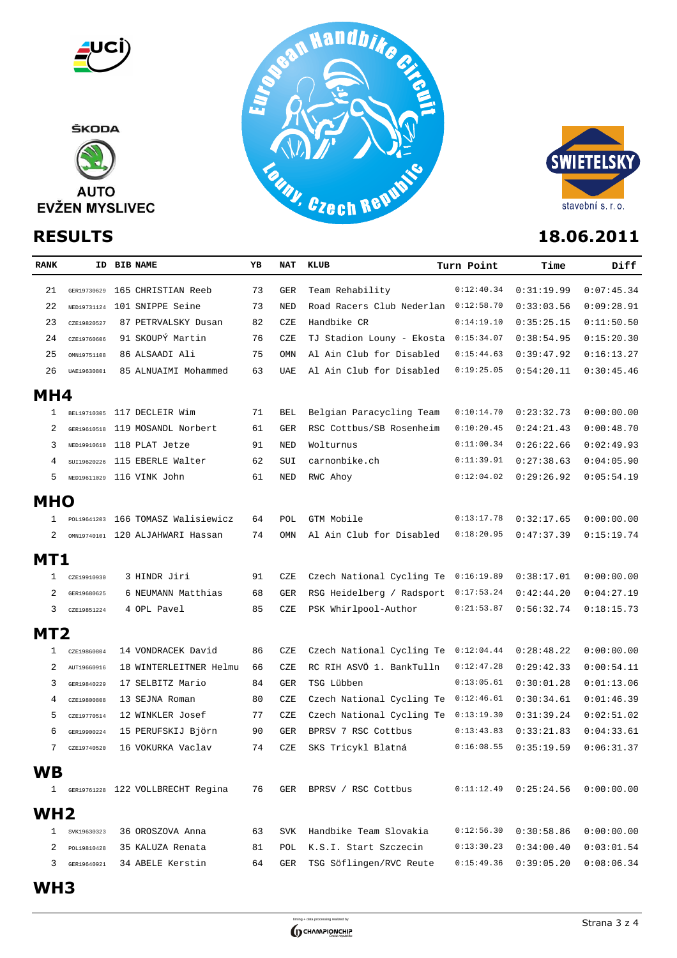

ŠKODA







| <b>RANK</b>     |             | ID BIB NAME                      |                                    |    | NAT        | KLUB                                 | Turn Point | Time       | Diff       |
|-----------------|-------------|----------------------------------|------------------------------------|----|------------|--------------------------------------|------------|------------|------------|
| 21              | GER19730629 | 165 CHRISTIAN Reeb               |                                    | 73 | <b>GER</b> | Team Rehability                      | 0:12:40.34 | 0:31:19.99 | 0:07:45.34 |
| 22              | NED19731124 | 101 SNIPPE Seine                 |                                    | 73 | NED        | Road Racers Club Nederlan 0:12:58.70 |            | 0:33:03.56 | 0:09:28.91 |
| 23              | CZE19820527 |                                  | 87 PETRVALSKY Dusan                | 82 | CZE        | Handbike CR                          | 0:14:19.10 | 0:35:25.15 | 0:11:50.50 |
| 24              | CZE19760606 | 91 SKOUPÝ Martin                 |                                    | 76 | CZE        | TJ Stadion Louny - Ekosta            | 0:15:34.07 | 0:38:54.95 | 0:15:20.30 |
| 25              | OMN19751108 | 86 ALSAADI Ali                   |                                    | 75 | OMN        | Al Ain Club for Disabled             | 0:15:44.63 | 0:39:47.92 | 0:16:13.27 |
| 26              | UAE19630801 |                                  | 85 ALNUAIMI Mohammed               | 63 | UAE        | Al Ain Club for Disabled             | 0:19:25.05 | 0:54:20.11 | 0:30:45.46 |
| MH4             |             |                                  |                                    |    |            |                                      |            |            |            |
| 1               |             | BEL19710305 117 DECLEIR Wim      |                                    | 71 | BEL        | Belgian Paracycling Team             | 0:10:14.70 | 0:23:32.73 | 0:00:00.00 |
| 2               |             | GER19610518 119 MOSANDL Norbert  |                                    | 61 | <b>GER</b> | RSC Cottbus/SB Rosenheim             | 0:10:20.45 | 0:24:21.43 | 0:00:48.70 |
| 3               |             | NED19910610 118 PLAT Jetze       |                                    | 91 | <b>NED</b> | Wolturnus                            | 0:11:00.34 | 0:26:22.66 | 0:02:49.93 |
| 4               |             | SUI19620226 115 EBERLE Walter    |                                    | 62 | SUI        | carnonbike.ch                        | 0:11:39.91 | 0:27:38.63 | 0:04:05.90 |
| 5               |             | NED19611029 116 VINK John        |                                    | 61 | NED        | RWC Ahoy                             | 0:12:04.02 | 0:29:26.92 | 0:05:54.19 |
| <b>MHO</b>      |             |                                  |                                    |    |            |                                      |            |            |            |
| 1               |             |                                  | POL19641203 166 TOMASZ Walisiewicz | 64 | POL        | GTM Mobile                           | 0:13:17.78 | 0:32:17.65 | 0:00:00.00 |
| 2               |             | OMN19740101 120 ALJAHWARI Hassan |                                    | 74 | OMN        | Al Ain Club for Disabled             | 0:18:20.95 | 0:47:37.39 | 0:15:19.74 |
| MT1             |             |                                  |                                    |    |            |                                      |            |            |            |
| 1               | CZE19910930 | 3 HINDR Jiri                     |                                    | 91 | CZE        | Czech National Cycling Te            | 0:16:19.89 | 0:38:17.01 | 0:00:00.00 |
| 2               | GER19680625 |                                  | 6 NEUMANN Matthias                 | 68 | <b>GER</b> | RSG Heidelberg / Radsport            | 0:17:53.24 | 0:42:44.20 | 0:04:27.19 |
| 3               | CZE19851224 | 4 OPL Pavel                      |                                    | 85 | CZE        | PSK Whirlpool-Author                 | 0:21:53.87 | 0:56:32.74 | 0:18:15.73 |
| MT <sub>2</sub> |             |                                  |                                    |    |            |                                      |            |            |            |
| 1               | CZE19860804 |                                  | 14 VONDRACEK David                 | 86 | CZE        | Czech National Cycling Te            | 0:12:04.44 | 0:28:48.22 | 0:00:00.00 |
| 2               | AUT19660916 |                                  | 18 WINTERLEITNER Helmu             | 66 | CZE        | RC RIH ASVÖ 1. BankTulln             | 0:12:47.28 | 0:29:42.33 | 0:00:54.11 |
| 3               | GER19840229 | 17 SELBITZ Mario                 |                                    | 84 | <b>GER</b> | TSG Lübben                           | 0:13:05.61 | 0:30:01.28 | 0:01:13.06 |
| 4               | CZE19800808 | 13 SEJNA Roman                   |                                    | 80 | CZE        | Czech National Cycling Te            | 0:12:46.61 | 0:30:34.61 | 0:01:46.39 |
| 5               | CZE19770514 | 12 WINKLER Josef                 |                                    | 77 | CZE        | Czech National Cycling Te            | 0:13:19.30 | 0:31:39.24 | 0:02:51.02 |
| 6               | GER19900224 |                                  | 15 PERUFSKIJ Björn                 | 90 | <b>GER</b> | BPRSV 7 RSC Cottbus                  | 0:13:43.83 | 0:33:21.83 | 0:04:33.61 |
| 7               | CZE19740520 | 16 VOKURKA Vaclav                |                                    | 74 | CZE        | SKS Tricykl Blatná                   | 0:16:08.55 | 0:35:19.59 | 0:06:31.37 |
| <b>WB</b>       |             |                                  |                                    |    |            |                                      |            |            |            |
| 1               |             |                                  | GER19761228 122 VOLLBRECHT Regina  | 76 | GER        | BPRSV / RSC Cottbus                  | 0:11:12.49 | 0:25:24.56 | 0:00:00.00 |
| WH <sub>2</sub> |             |                                  |                                    |    |            |                                      |            |            |            |
|                 | SVK19630323 | 36 OROSZOVA Anna                 |                                    | 63 | <b>SVK</b> | Handbike Team Slovakia               | 0:12:56.30 | 0:30:58.86 | 0:00:00.00 |
| 2               | POL19810428 | 35 KALUZA Renata                 |                                    | 81 | POL        | K.S.I. Start Szczecin                | 0:13:30.23 | 0:34:00.40 | 0:03:01.54 |
| 3               | GER19640921 | 34 ABELE Kerstin                 |                                    | 64 | GER        | TSG Söflingen/RVC Reute              | 0:15:49.36 | 0:39:05.20 | 0:08:06.34 |
|                 |             |                                  |                                    |    |            |                                      |            |            |            |

**WH3**